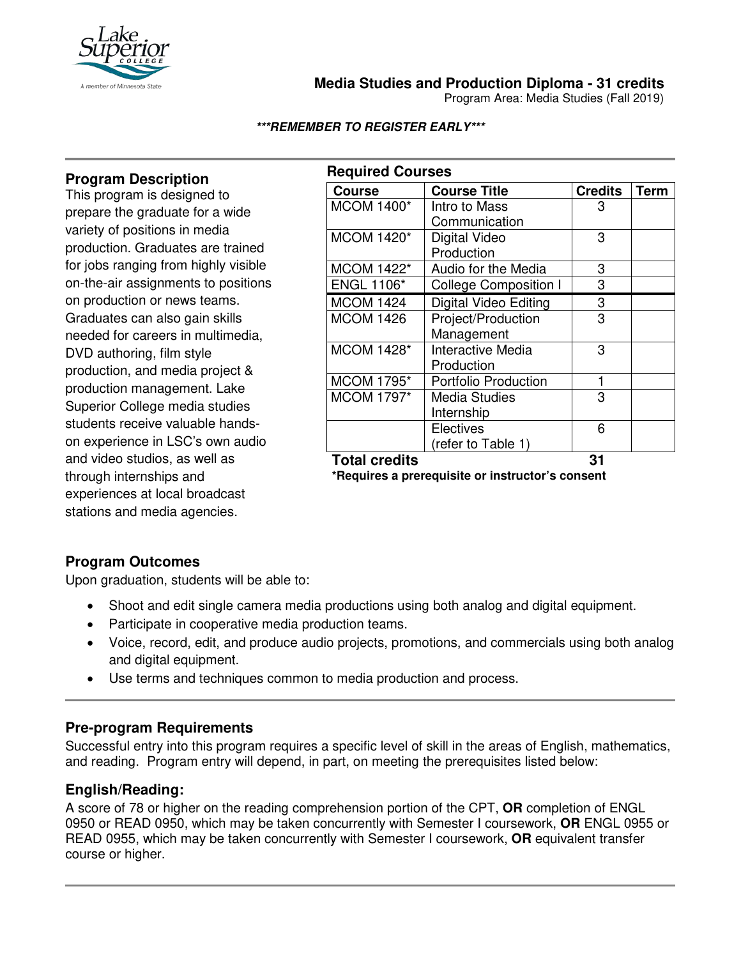

**Media Studies and Production Diploma - 31 credits**

Program Area: Media Studies (Fall 2019)

#### **\*\*\*REMEMBER TO REGISTER EARLY\*\*\***

## **Program Description**

This program is designed to prepare the graduate for a wide variety of positions in media production. Graduates are trained for jobs ranging from highly visible on-the-air assignments to positions on production or news teams. Graduates can also gain skills needed for careers in multimedia, DVD authoring, film style production, and media project & production management. Lake Superior College media studies students receive valuable handson experience in LSC's own audio and video studios, as well as through internships and experiences at local broadcast stations and media agencies.

| <b>Required Courses</b> |                              |                |             |  |
|-------------------------|------------------------------|----------------|-------------|--|
| <b>Course</b>           | <b>Course Title</b>          | <b>Credits</b> | <b>Term</b> |  |
| <b>MCOM 1400*</b>       | Intro to Mass                | 3              |             |  |
|                         | Communication                |                |             |  |
| <b>MCOM 1420*</b>       | Digital Video                | 3              |             |  |
|                         | Production                   |                |             |  |
| <b>MCOM 1422*</b>       | Audio for the Media          | 3              |             |  |
| <b>ENGL 1106*</b>       | <b>College Composition I</b> | 3              |             |  |
| <b>MCOM 1424</b>        | <b>Digital Video Editing</b> | 3              |             |  |
| <b>MCOM 1426</b>        | Project/Production           | 3              |             |  |
|                         | Management                   |                |             |  |
| <b>MCOM 1428*</b>       | Interactive Media            | 3              |             |  |
|                         | Production                   |                |             |  |
| <b>MCOM 1795*</b>       | <b>Portfolio Production</b>  | 1              |             |  |
| MCOM 1797*              | <b>Media Studies</b>         | 3              |             |  |
|                         | Internship                   |                |             |  |
|                         | Electives                    | 6              |             |  |
|                         | (refer to Table 1)           |                |             |  |
| <b>Total credits</b>    |                              | 31             |             |  |

**\*Requires a prerequisite or instructor's consent**

### **Program Outcomes**

Upon graduation, students will be able to:

- Shoot and edit single camera media productions using both analog and digital equipment.
- Participate in cooperative media production teams.
- Voice, record, edit, and produce audio projects, promotions, and commercials using both analog and digital equipment.
- Use terms and techniques common to media production and process.

### **Pre-program Requirements**

Successful entry into this program requires a specific level of skill in the areas of English, mathematics, and reading. Program entry will depend, in part, on meeting the prerequisites listed below:

### **English/Reading:**

A score of 78 or higher on the reading comprehension portion of the CPT, **OR** completion of ENGL 0950 or READ 0950, which may be taken concurrently with Semester I coursework, **OR** ENGL 0955 or READ 0955, which may be taken concurrently with Semester I coursework, **OR** equivalent transfer course or higher.